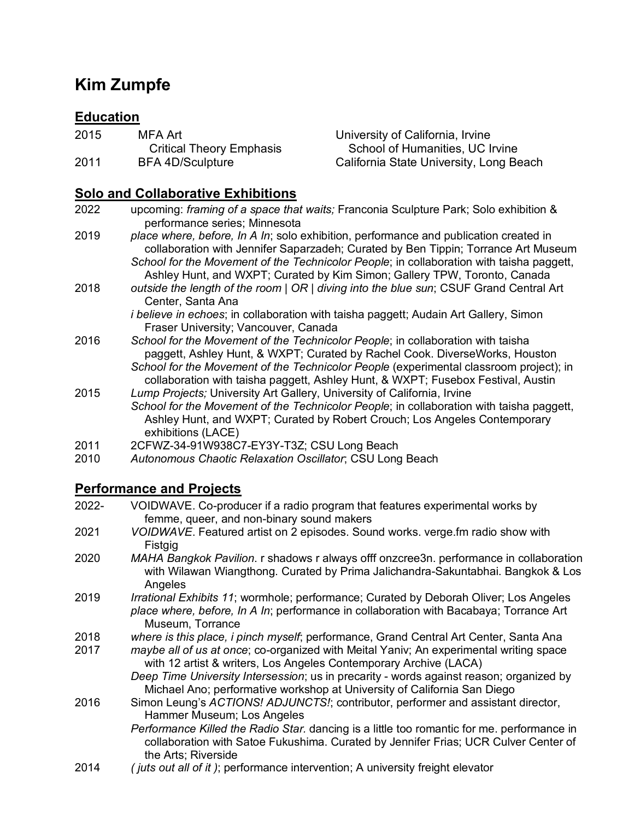# **Kim Zumpfe**

# **Education**

| 2015 | MFA Art                         |
|------|---------------------------------|
|      | <b>Critical Theory Emphasis</b> |
| 2011 | <b>BFA 4D/Sculpture</b>         |

University of California, Irvine School of Humanities, UC Irvine California State University, Long Beach

### **Solo and Collaborative Exhibitions**

2022 upcoming: *framing of a space that waits;* Franconia Sculpture Park; Solo exhibition & performance series; Minnesota

2019 *place where, before, In A In*; solo exhibition, performance and publication created in collaboration with Jennifer Saparzadeh; Curated by Ben Tippin; Torrance Art Museum *School for the Movement of the Technicolor People*; in collaboration with taisha paggett, Ashley Hunt, and WXPT; Curated by Kim Simon; Gallery TPW, Toronto, Canada

2018 *outside the length of the room | OR | diving into the blue sun*; CSUF Grand Central Art Center, Santa Ana

*i believe in echoes*; in collaboration with taisha paggett; Audain Art Gallery, Simon Fraser University; Vancouver, Canada

- 2016 *School for the Movement of the Technicolor People*; in collaboration with taisha paggett, Ashley Hunt, & WXPT; Curated by Rachel Cook. DiverseWorks, Houston *School for the Movement of the Technicolor People* (experimental classroom project); in collaboration with taisha paggett, Ashley Hunt, & WXPT; Fusebox Festival, Austin
- 2015 *Lump Projects;* University Art Gallery, University of California, Irvine *School for the Movement of the Technicolor People*; in collaboration with taisha paggett, Ashley Hunt, and WXPT; Curated by Robert Crouch; Los Angeles Contemporary exhibitions (LACE)
- 2011 2CFWZ-34-91W938C7-EY3Y-T3Z; CSU Long Beach
- 2010 *Autonomous Chaotic Relaxation Oscillator*; CSU Long Beach

## **Performance and Projects**

- 2022- VOIDWAVE. Co-producer if a radio program that features experimental works by femme, queer, and non-binary sound makers
- 2021 *VOIDWAVE*. Featured artist on 2 episodes. Sound works. verge.fm radio show with Fistgig
- 2020 *MAHA Bangkok Pavilion*. r shadows r always offf onzcree3n. performance in collaboration with Wilawan Wiangthong. Curated by Prima Jalichandra-Sakuntabhai. Bangkok & Los **Angeles**
- 2019 *Irrational Exhibits 11*; wormhole; performance; Curated by Deborah Oliver; Los Angeles *place where, before, In A In*; performance in collaboration with Bacabaya; Torrance Art Museum, Torrance
- 2018 *where is this place, i pinch myself*; performance, Grand Central Art Center, Santa Ana
- *maybe all of us at once*; co-organized with Meital Yaniv; An experimental writing space with 12 artist & writers, Los Angeles Contemporary Archive (LACA)

*Deep Time University Intersession*; us in precarity - words against reason; organized by Michael Ano; performative workshop at University of California San Diego

- 2016 Simon Leung's *ACTIONS! ADJUNCTS!*; contributor, performer and assistant director, Hammer Museum; Los Angeles
	- *Performance Killed the Radio Star.* dancing is a little too romantic for me. performance in collaboration with Satoe Fukushima. Curated by Jennifer Frias; UCR Culver Center of the Arts; Riverside
- 2014 *( juts out all of it )*; performance intervention; A university freight elevator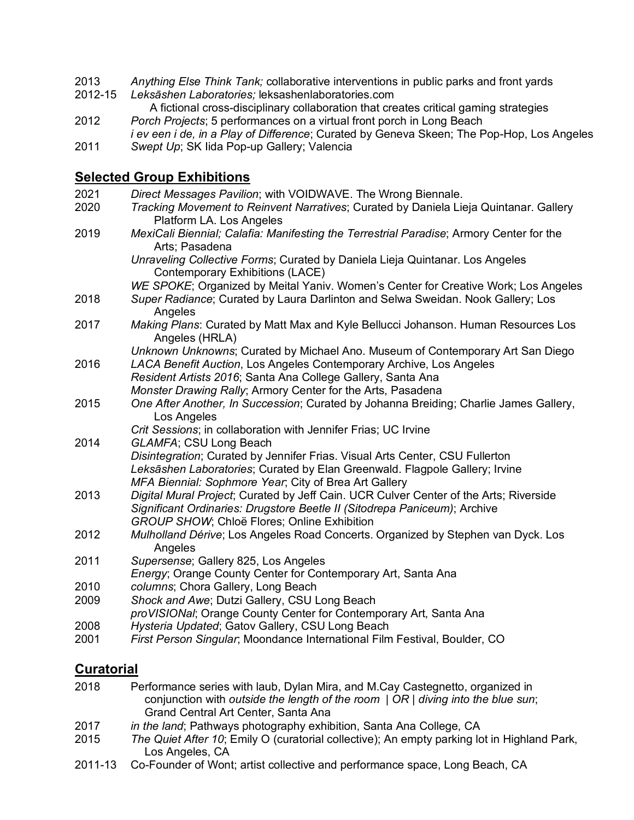- 2013 *Anything Else Think Tank;* collaborative interventions in public parks and front yards
- 2012-15 *Leksāshen Laboratories;* leksashenlaboratories.com

 A fictional cross-disciplinary collaboration that creates critical gaming strategies 2012 *Porch Projects*; 5 performances on a virtual front porch in Long Beach

*i ev een i de, in a Play of Difference*; Curated by Geneva Skeen; The Pop-Hop, Los Angeles 2011 *Swept Up*; SK Iida Pop-up Gallery; Valencia

#### **Selected Group Exhibitions**

| 2021 | Direct Messages Pavilion; with VOIDWAVE. The Wrong Biennale.                                                      |
|------|-------------------------------------------------------------------------------------------------------------------|
| 2020 | Tracking Movement to Reinvent Narratives; Curated by Daniela Lieja Quintanar. Gallery<br>Platform LA. Los Angeles |
| 2019 | MexiCali Biennial; Calafia: Manifesting the Terrestrial Paradise; Armory Center for the<br>Arts; Pasadena         |
|      | Unraveling Collective Forms; Curated by Daniela Lieja Quintanar. Los Angeles<br>Contemporary Exhibitions (LACE)   |
|      | WE SPOKE; Organized by Meital Yaniv. Women's Center for Creative Work; Los Angeles                                |
| 2018 | Super Radiance; Curated by Laura Darlinton and Selwa Sweidan. Nook Gallery; Los<br>Angeles                        |
| 2017 | Making Plans: Curated by Matt Max and Kyle Bellucci Johanson. Human Resources Los<br>Angeles (HRLA)               |
|      | Unknown Unknowns; Curated by Michael Ano. Museum of Contemporary Art San Diego                                    |
| 2016 | LACA Benefit Auction, Los Angeles Contemporary Archive, Los Angeles                                               |
|      | Resident Artists 2016; Santa Ana College Gallery, Santa Ana                                                       |
|      | Monster Drawing Rally; Armory Center for the Arts, Pasadena                                                       |
| 2015 | One After Another, In Succession; Curated by Johanna Breiding; Charlie James Gallery,<br>Los Angeles              |
|      | Crit Sessions; in collaboration with Jennifer Frias; UC Irvine                                                    |
| 2014 | GLAMFA; CSU Long Beach                                                                                            |
|      | Disintegration; Curated by Jennifer Frias. Visual Arts Center, CSU Fullerton                                      |
|      | Leksāshen Laboratories; Curated by Elan Greenwald. Flagpole Gallery; Irvine                                       |
|      | MFA Biennial: Sophmore Year; City of Brea Art Gallery                                                             |
| 2013 | Digital Mural Project; Curated by Jeff Cain. UCR Culver Center of the Arts; Riverside                             |
|      | Significant Ordinaries: Drugstore Beetle II (Sitodrepa Paniceum); Archive                                         |
|      | GROUP SHOW; Chloë Flores; Online Exhibition                                                                       |
| 2012 | Mulholland Dérive; Los Angeles Road Concerts. Organized by Stephen van Dyck. Los<br>Angeles                       |
| 2011 | Supersense; Gallery 825, Los Angeles<br>Energy; Orange County Center for Contemporary Art, Santa Ana              |
| 2010 | columns; Chora Gallery, Long Beach                                                                                |
| 2009 | Shock and Awe; Dutzi Gallery, CSU Long Beach<br>proVISIONal; Orange County Center for Contemporary Art, Santa Ana |
| 2008 | Hysteria Updated; Gatov Gallery, CSU Long Beach                                                                   |
| 2001 | First Person Singular, Moondance International Film Festival, Boulder, CO                                         |

#### **Curatorial**

- 2018 Performance series with laub, Dylan Mira, and M.Cay Castegnetto, organized in conjunction with *outside the length of the room | OR | diving into the blue sun*; Grand Central Art Center, Santa Ana
- 2017 *in the land*; Pathways photography exhibition, Santa Ana College, CA
- 2015 *The Quiet After 10*; Emily O (curatorial collective); An empty parking lot in Highland Park, Los Angeles, CA
- 2011-13 Co-Founder of Wont; artist collective and performance space, Long Beach, CA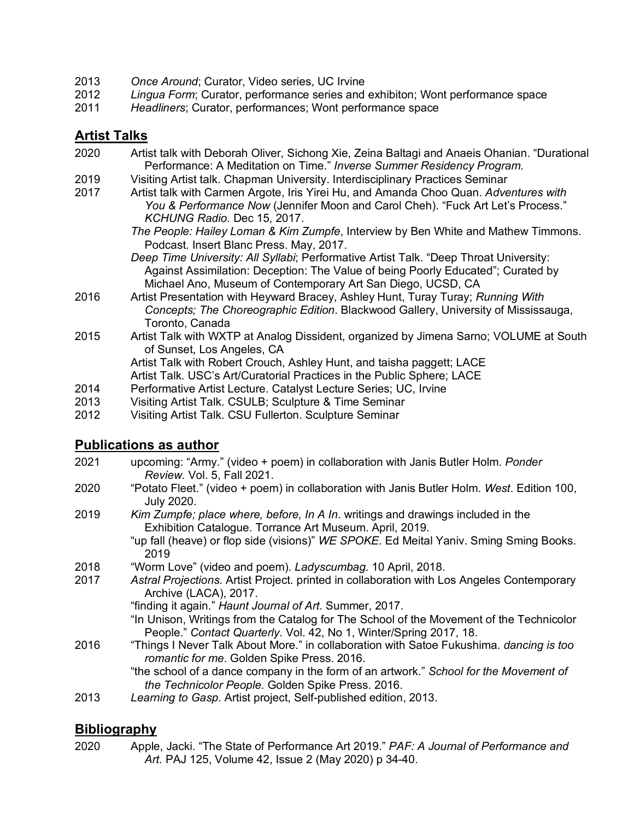- 2013 *Once Around*; Curator, Video series, UC Irvine
- 2012 *Lingua Form*; Curator, performance series and exhibiton; Wont performance space
- 2011 *Headliners*; Curator, performances; Wont performance space

## **Artist Talks**

- 2020 Artist talk with Deborah Oliver, Sichong Xie, Zeina Baltagi and Anaeis Ohanian. "Durational Performance: A Meditation on Time." *Inverse Summer Residency Program.*
- 2019 Visiting Artist talk. Chapman University. Interdisciplinary Practices Seminar
- 2017 Artist talk with Carmen Argote, Iris Yirei Hu, and Amanda Choo Quan. *Adventures with You & Performance Now* (Jennifer Moon and Carol Cheh). "Fuck Art Let's Process." *KCHUNG Radio.* Dec 15, 2017.
	- *The People: Hailey Loman & Kim Zumpfe*, Interview by Ben White and Mathew Timmons. Podcast. Insert Blanc Press. May, 2017.
	- *Deep Time University: All Syllabi*; Performative Artist Talk. "Deep Throat University: Against Assimilation: Deception: The Value of being Poorly Educated"; Curated by Michael Ano, Museum of Contemporary Art San Diego, UCSD, CA
- 2016 Artist Presentation with Heyward Bracey, Ashley Hunt, Turay Turay; *Running With Concepts; The Choreographic Edition*. Blackwood Gallery, University of Mississauga, Toronto, Canada
- 2015 Artist Talk with WXTP at Analog Dissident, organized by Jimena Sarno; VOLUME at South of Sunset, Los Angeles, CA

Artist Talk with Robert Crouch, Ashley Hunt, and taisha paggett; LACE

- Artist Talk. USC's Art/Curatorial Practices in the Public Sphere; LACE
- 2014 Performative Artist Lecture. Catalyst Lecture Series; UC, Irvine
- 2013 Visiting Artist Talk. CSULB; Sculpture & Time Seminar
- 2012 Visiting Artist Talk. CSU Fullerton. Sculpture Seminar

#### **Publications as author**

- 2021 upcoming: "Army." (video + poem) in collaboration with Janis Butler Holm. *Ponder Review.* Vol. 5, Fall 2021.
- 2020 "Potato Fleet." (video + poem) in collaboration with Janis Butler Holm. *West*. Edition 100, July 2020.
- 2019 *Kim Zumpfe; place where, before, In A In*. writings and drawings included in the Exhibition Catalogue. Torrance Art Museum. April, 2019.
	- "up fall (heave) or flop side (visions)" *WE SPOKE*. Ed Meital Yaniv. Sming Sming Books. 2019
- 2018 "Worm Love" (video and poem). *Ladyscumbag.* 10 April, 2018.
- 2017 *Astral Projections*. Artist Project. printed in collaboration with Los Angeles Contemporary Archive (LACA), 2017.

"finding it again." *Haunt Journal of Art.* Summer, 2017.

- "In Unison, Writings from the Catalog for The School of the Movement of the Technicolor People." *Contact Quarterly*. Vol. 42, No 1, Winter/Spring 2017, 18.
- 2016 "Things I Never Talk About More." in collaboration with Satoe Fukushima. *dancing is too romantic for me*. Golden Spike Press. 2016.
	- "the school of a dance company in the form of an artwork." *School for the Movement of the Technicolor People*. Golden Spike Press. 2016.
- 2013 *Learning to Gasp*. Artist project, Self-published edition, 2013.

#### **Bibliography**

2020 Apple, Jacki. "The State of Performance Art 2019." *PAF: A Journal of Performance and Art.* PAJ 125, Volume 42, Issue 2 (May 2020) p 34-40.